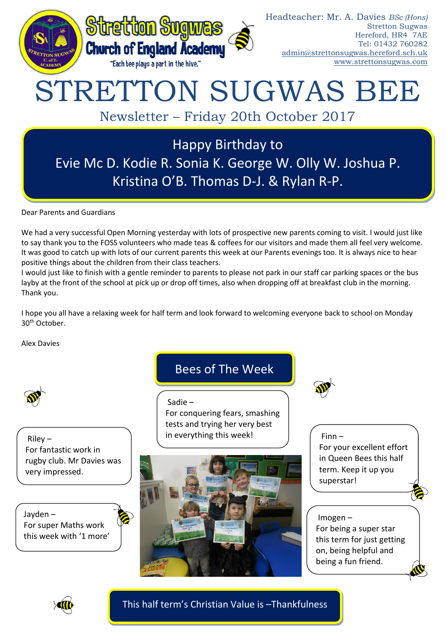

# STRETTON SUGWAS BEE

Newsletter – Friday 20th October 2017

Happy Birthday to Evie Mc D. Kodie R. Sonia K. George W. Olly W. Joshua P. Kristina O'B. Thomas D-J. & Rylan R-P.

Dear Parents and Guardians

We had a very successful Open Morning yesterday with lots of prospective new parents coming to visit. I would just like to say thank you to the FOSS volunteers who made teas & coffees for our visitors and made them all feel very welcome. It was good to catch up with lots of our current parents this week at our Parents evenings too. It is always nice to hear positive things about the children from their class teachers.

I would just like to finish with a gentle reminder to parents to please not park in our staff car parking spaces or the bus layby at the front of the school at pick up or drop off times, also when dropping off at breakfast club in the morning. Thank you.

I hope you all have a relaxing week for half term and look forward to welcoming everyone back to school on Monday 30th October.

Alex Davies



Riley – For fantastic work in rugby club. Mr Davies was very impressed.

Jayden – For super Maths work this week with '1 more'

# Bees of The Week

Sadie –

For conquering fears, smashing tests and trying her very best in everything this week!



Finn – For your excellent effort in Queen Bees this half term. Keep it up you superstar!

# Imogen –

For being a super star this term for just getting on, being helpful and being a fun friend.



This half term's Christian Value is –Thankfulness